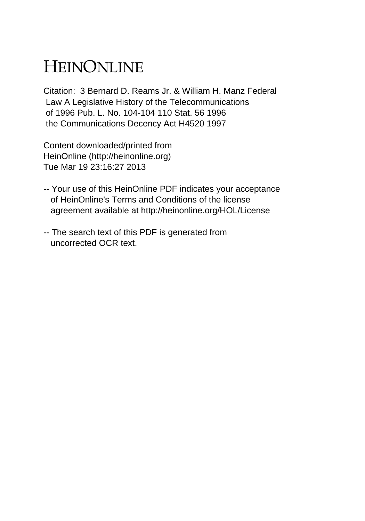# HEINONLINE

Citation: 3 Bernard D. Reams Jr. & William H. Manz Federal Law A Legislative History of the Telecommunications of 1996 Pub. L. No. 104-104 110 Stat. 56 1996 the Communications Decency Act H4520 1997

Content downloaded/printed from HeinOnline (http://heinonline.org) Tue Mar 19 23:16:27 2013

- -- Your use of this HeinOnline PDF indicates your acceptance of HeinOnline's Terms and Conditions of the license agreement available at http://heinonline.org/HOL/License
- -- The search text of this PDF is generated from uncorrected OCR text.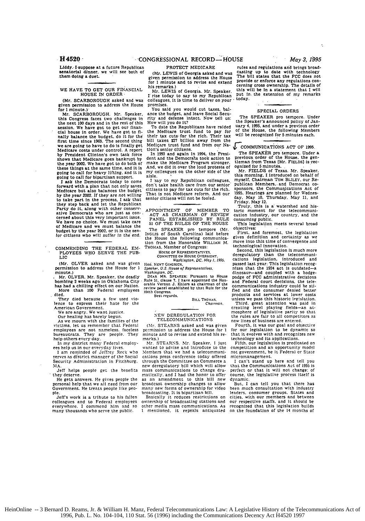## H4520 **-**

### **CONGRESSIONAL RECORD—HOUSE**

**Liddy.** I-suppose at a future Repubi senatorial dinner, we will see both of .them doing a duet.

## WE HAVE TO GET OUR FIN1ANC **HOUSE** IN ORDER

(Mr. SCARBOROUGH asked and was given permission to address the House<br>for 1 minute.)

Mr. SCARBOROUGH. Mr. Speaker. this Congress faces two challenges in the next **100** days and in the rest of session. We have got to get our financial house in order. We have got to finally balance the budget, do it for first time since 1969. The second the e are going to have to do is finally get Medicare costs under control. A rel by President Clinton's own task fc shows that Medicare goes bankrupt the year 2002. We have got to do botil these things at the same time, and if going to call for heavy lifting, and if going to call for bipartisan support.

I ask the Democrats today to cc forward with a plan that not only sa Medicare but also balances the bud **by** the year 2002. **If** they are not will to take part in the process. I ask that<br>they step back and let the Republican Party do **it.** along with other conse ative Democrats who are just as con-<br>cerned about this very important issue. cerned about this very important issue<br>We have no choice. We must take care<br>of Medicare and we must balance the budget by the year 2002, or it is the sen**for** citizens who will suffer In the *ei*

COMMENDING THE FEDERAL EMPLOYEES WHO SERVE THE PUB-**LIC**

(Mr. OLVER asked and was **glv** permission to address the House for

minute.)<br>Mr. OLVER. Mr. Speaker, the deadly bombing 2 weeks ago in Oklahoma City has **had** a chilling effect on our Natl More than 100 Federal employe **died.**

They died because a few used vior thence to express their hate for the American Government.

We are angry. We want justice. Our healing has barely begun.

As we mourn with the families of the<br>victims, let us remember that Federal victlms, let us remember that Feder employees are not nameless. facele bureaucrats. They are people. The help others every day.

In my district many Federal employ-<br>ees help us in our everyday lives.

I am reminded of Jeffrey Reck w?<br>serves as district manager of the Socia Security Administration in Fitchburg. **MA.**

Jeff helps people get the benefits they deserve.

He gets answers. He gives people th personal help that we all need from our Government. He treats people like people.

Jeffs work is a tribute to his falle colleagues and to Federal employee everywhere. **I** commend him and s many thousands who serve the public.

PROTECT MEDICARE (Mr. LEWIS of Georgia asked and was

given permission to address the Hou for **I** minute and to revise and exter his remarks.) Mr. LEWIS of Georgia. Mr. Speaker.

I rise today to say to my Republican colleagues, it is time to deliver on your promises.

You said you would cut taxes. balance the budget, and leave Social Security and defense intact. Now tell us:

this How will you do it? ian- To date the Republicans have raide **fi-** the Medicare trust fund to pay fo **the** their tax cuts:for the rich. Their ta hing bill takes *\$27* billion away from th get Mediqare trust fund and from our Na e tion's senior citizens.

irce In **1993** and again in 1994. the Presi by dent and the Democrats took action **t I** of make the Medicare Program stronger t is And. we did it over the loud protests o  $my$  colleagues on the other side of the aisle.

I say to my Republican colleagues, yes don't take health care from our senio. get citizens to pay for tax cuts for the rich That is not Medicare reform. And our senior citizens will not be fooled.

## **RUNDER TO ANTIGHT OF MEMBER TO ACT AS CHAIRMAN OF REVIEW**<br>ue. PANEL ESTABLISHED BY RULE<br>are **51 OF THE RULES OF THE HOUSE**

The SPEAKER pro tempore (Mr. INGLIS of South Carolina) laid before id. INOLIs of South Carolina) laid before the House the following communica-

tion from the Honorable WILLIAM M.<br>M. THOMAS, Member of Congress:

B. HOUSE OF REPRESENTATIVES,<br>
HOUSE ON HOUSE OVERSIONS.<br>
COMMITTEE ON HOUSE OVERSIONS.<br>
P. Hon. NEWT GINGRICH.<br>
1 Speaker, U.S. House of Representatives.<br>
Washington, DC.<br>
1 Speaker, U.S. House 7, I have appointed to House More than 100 Federal employees forth congress.<br>ed.<br>They died because a few used vio-<br>**BILL THOMAS.**<br>They died because a few used vio-

**le** *Chirmn.*

#### NEW DEREGULATION FOR TELECOMMUNICATIONS

**il** (Mr. STEARNS asked and was given ss permission to address the House for I **y** minute and to revise and extend his remarks.)

1Mr. STEARNS. Mr. Speaker. I just anted to advise and introduce to the o Members that we had a telecommuni-ii cations press conference today offered through the Committee on Commerce a new deregulatory bill which will allow **.s** mass communications to change dramatically. and I had the honor to offer as an amendment to this bill new r broadcast ownership changes to allow **I-** many new forms of ownership for video broadcasting. It is bipartisan bill.

**n** Basically it reduces restrictions on s ownership of broadcasting stations and o other media mass communications. As mentioned, it repeals antiquated

rules and regulations and brings broad**aS** casting up to date with technology se The **bill** states that the **FCC** does not id provide or enforce any regulations con-cerning cross ownership. The details **of** r. this will be **in** a statement that I will .n put **In. the extension** of my remarks ir today.

#### SPECIAL ORDERS

The SPEAKER pro tempore. Under the Speaker's announced policy of Jand uary 4. 1995, and under a previous order<br>r of the House, the following Members will be recognized for 5 minutes each.

### FCOMMUNICAToNS **ACT OF 1995**

**The SPEAKER pro tempore. Under a**<br>**p** previous. order of the House, the gen-<br>**p** tleman from Texas [Mr. FIELDS] is rec**f** ognized for **5** minutes.

Mr. FIELDS of Texas. Mr. Speaker. this morning, I introduced on behalf of **s** myself. Chairman TOM BLILEY. our Rer' publican Members.. and Democrat co- sponsors, the Communications Act of r 1995. Hearings are planned for Wednes-day. May 10. Thursday. May **11.** and Friday. May 12.

Truly, this is a watershed and his- toric moment for the telecommunication industry, our country, and the consuming public.

This legislation meets several broad<br>objectives:

objectives: First. and foremost, the legislation gives definition and certainty as we move into this time of convergence and technological Innovation.

Second, this legislation is much more deregulatory than the telecommuni-<br>cations legislation, introduced and cations legislation, introduced and passed last year: This legislation recog-nizes that the 1934 act is outdated-a dinosaur-and coupled with a hodge-podge of **FCC** administrative decisions and Federal court decisions, the tele- communications industry could be stifled and the consumer denied better products and services at lower costs unless we pass this historic leeslation. Third. great attention was paid in<br>creating level playing fields-an at-<br>mosphere of legislative parity so that mosphere of legislative parity so that<br>the rules are fair to all competitors as

new lines of business are entered.<br>Fourth, it was our goal and objective Fourth. it was our goal and objective for our legislation to be dynamic so that it evolves with and recognizes new

technology and its applications. Fifth. our legislation is predicated on competition and an opportunity model not government, be it Federal or State micromanagement.

**I** can't stand up here and tell you that the Communications Act of **1995** is perfect or that it will not change: of course, the legislative process itself is dynamic.

But. I can tell you that there has been much consultation with industry leaders, consumer groups. States and cities, with our members and between our respective staffs, and it should be recognized that this legislation builds on the foundation of the 14 months of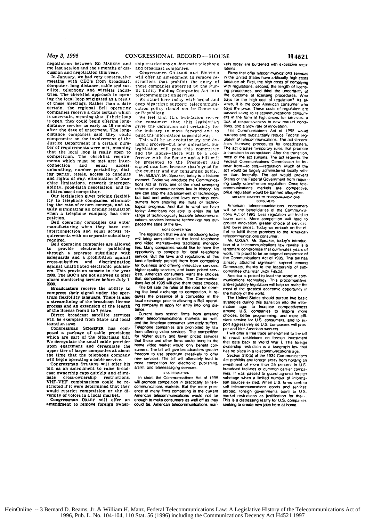negotiation between **ED MARKEY** and me last session and the 4 months **of** dis- cussion and negotiation this year.

In January. we had very construrtive meeting with CEO's from broadcast.<br>computer, long distance, cable and sat-<br>ellite, telephony and wireless indus-<br>tries. The checklist approach in opening the local loop originated as a result **of** these meetings. Rather than a date the regional Bell operating companies receive a date certain which is uncertain, meaning that **if** their loop **is** open. they could begin offering longdistance service as early as **18** months after the date of enactment. The longdistance companies said they could compromise on the involvement of the Justice Department if a certain number of requirements were met, meaning that the local loop is really open to competition. The checklist require-ments which must be met are: inter-connection and equal access. unbundling, number portability, dial-Ing parity, resale, access to conduits and rights of way. elimination of franchise limitations, network interoperability, good-faith negotiation, and facilities-based competitor.

Our legislation gives pricing flexibility to telephone companies, eliminatthe rate-of-return concept, and totally eliminating all pricing regulation when a telephone company has competition.

operating companies can enter manufacturing when they have met interconnection and equal access requirements with no separate subsidiary required. Bell operating companies are allowed

provide electronic publishing through a separate subsidiary with safeguards and a :prohibition against cross-subsidies and discrimination against unaffiliated electronic publishera. This provision sunsets in the year **2000.** The BOC's are not allowed to offer alarm monitoring service before July **1.** 2000.

Broadcasters receive the ability to compress their signal under the spec-trum flexibility language. There is also a streamlining of the broadcast license process and an extension of the length

of the license from **5** to **7** years. Direct broadcast satellite services will be exempted from State and local taxation laws.

**Congressman SCHAEFER has** posed a package of cable provisions which are part of the bipartisan bill. We deregulate the small cable provider upon enactment and deregulate the upper tier of larger companies at about the time that the telephone company will begin operating a cable service.

Congressman **STEARNS** will offer his bill as an amendment to raise broadcast ownership caps quickly and elimi-nate cross-ownership restrictions. VHF-VHF combinations could be **re**stricted **if** it were determined that they would restrict competition or the **di-**

versity **of** voices in **a** local market. Congressman OXLEY will offer an congressman OXLEY will offer an amendment to remove foreign ownership restrictions on domestic telephone and broadcast companies.

Congressmen **G:1L.1110i** aid BOUCHlRit will offer an amendment to remove restrictions that prohibit the entry those companies governed **by** the Public Utility Holding Companies Act into

telecommunication servives. We stand here today with broad and deep bipartisar support: telecommunication policy should not be Democrat<br>or Republican

We feel that this legislation server the consumer: that this legislation gives the definition and certalr:y **for** the industry to move forward and to build the information superhighway.

This will be an evolutionary and dynamic process--but now unleashed, our legislation will pass this committee<br>and the House—there will be a conference with the Senate and a bill will<br>be presented to the President and igned into law, because that's good **for** the country and our consuming puli. Mr. BLILEY. **Mr.** Speaker, today is a historic

moment. Today we introduce the Communca**lions** Act **o 1995.** one **of** the most sweeping reforms **of** communications law in history. No **taw** can stop the advancement of technology, but bad and antiquated laws can stop consumers **from** enloying the fruits **of** techno-logical progress. And **That** is **w!ati** we **have** today: Americans **not** able to enjoy **the** lull range of technologically feasible telecommunications services because technology **nas** outpaced the state **of** the **law.**

#### **-CAE CCSMrEltrro**

The legislation that we are introducing today will bring competition to the local telephone<br>and video markets--two traditional monopo**and** video mariets--two traditional **monopo**lies. Many companies would like **to** have the Opportunity to compete for local telephone service. But the laws and regulations of this land effectively **prohibit** them from competing for business and offering innovative services. higher quality services, and lower priced **ser**ices. American consumers want the choices that competiion provides. The Communica**tions** Act of **1995** will give **them** those choices-

The bill sets the rules **of** the road for **open**ing **the** local exchange **to** coropetion. It requires the presence of a competitor in the<br>local exchange prior to allowing a Bell operating company to apply for entry into long distance.

Current laws restrict firms from entering other telecommunications markets **as** well. and the American consumer utirratey suffers. Telephone companies are prohibited **by** law from offering video services. The competition **for** higher quality and lower priced services that these and other **firms** could bring to the home video mariet would only benefit **con-sumers.** The bill will give broadcasters greater freedom to use spectrum creatively to **offer** new services- The bill will ultimately lead **io more** competition for e'ectroisc pubhishing. alarm, and telemessaging services.

#### **5LESS aEGULi-1**

In **short,** the Communications Act of **1995** will promote competition in practically all telecommunications markets. But the mere presence **of** many **firms** competing in **the** current American telecommunrcations would **not** be enough to make consumers as well off as they could **be,** Amencan telecommunlcations markets today are burdened *with* excessive reqo. lations.

Firms that offer telecommunications services in the United States have artficially high **costs** because of: Fist, the high costs **of** conolving with regulations, second, the length of licens-<br>ing procedures, and third, the uncertainty of the Outcome **of** licensing procedures. Wrio pays **for** the high cost **of** regulation? As **at**ways, it is the poor American consumer who pays the price. These costs of regulation are Passed along **to** telecommunications consin**ers** in the form **of** high prices for services. a tack of responsiveness to new market condilions. and a slow rate of rnovation. **lne** Communications **Act o 1995** woJid

harness and substantially reduce Federal regulation of telecommunications. The act streamhnes licensing procedures for broadcasters, The act creates temporary rules that promote<br>a transition to competition. After the transition.<br>most of the act sunsets. The act requires the<br>Federal Communications Commission to forbear from-to stop-regulation Much of the *act* would be largely administered locally fath-er than federally. The act would prevent States or the Federal Government from requir- **•** ing costly rate-al-return regulation. Once tele-communications markets are competitive. price regulation would be banned altogether-

#### **GREATER SENEFITS TO TELECOMMUNICATIONS CONSUMERS**

Ainerican telecomrmunications consumers w;lI be The **berm;efciaties of** the Communira-*tior,* **At** of **1995** Less regu!ation **will lead to** lower cocts. More competiton **will** lead **to** greater innovation, greater choice of **sdm-i.es.** and lower prices. Today we embark on the **el**fort to fulfill these promises to the American telecommunications consumer.

Mr. OXLEY. **Mr.** Speaker, today's introduc. lion **of** a tele:ommunications law rewrite is a landmark compromise that culminates years of work. fm proud to be an Original cosponsor of the Communications Act of **1995.** The bill has already **attracted** significant Support among Democrats. thanks to the leacership of subcommittee chairman **JACK FiEioS.**

America is poised to lead the world in com-<br>munications technology. This procompetitive<br>anti-regulatory legislation will help us make the most **of** the greatest ecoromic opportunity in the history of the world. The United States should pursue two basic

strategies during this transition into the informatrion age: to increase competitiveness among **U.S.** companies to inspire more choices, better programnng. and more **effi-**cient service **for U.S.** consumers, and to *ex*port aggressively so **U.S.** companies will pros-per and hire American workers.

**I** will offer a free trade amendment **to** the **Ddl** to repeal restrictions on foreign investment **that** date **back** to World War **I.** The loreige ownership restriction is a telegraph law that **has** no **psace** in a leiecommuniations age.

Section **310(b)** of the **1934** Communicatio-s Act prohibits any foreign entity from holding an investment of more than 25 percent in U.S. broadcast facilies or crmmon carrier corona**hies.** ft **was** passed to guard againsl foreign sabotage when a limited number of information sources **exisled.** When **U.S.** firms seek **to** sell telecommunications goods and services<br>abroad, foreign governments point to U.S. market restrictons as justification for their. This is a distressing reaty **for U.S.** comparvs seeking to create new jobs here at **home.**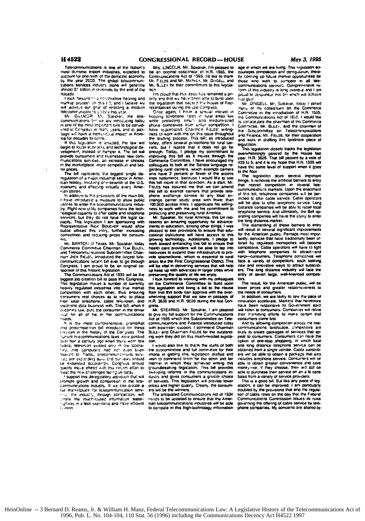Totel.rmimunicatons is **one of tile** Nation's nost dnlinmic **expon** industries. expected to uccount for one-sixth of the domestic economy **by** the year **20.** The **global** telecomrunservices industry alone will generate a<sup>t</sup>most S<sup>\*</sup> trillion in revenues by the end of the lecade.

**<sup>I</sup>lock** 'orvxo,'t **<sup>I</sup>**r.'.;nstwe henring and lit' <sup>5</sup> or. **:rur:es',** zh *.'s* **! t,** and **I** tierneve we **And authority our grid of enacting a modern** •elc.:otrrsrn.cn!nc-"- *:.s-* l'ts **yar',**

**Mr.** GiLUMOR *III*, Speaker, the tele-<br>communications till we are intrcducing today Is one **r.1** the rrnt **in-** |.rr'.-t! tits **to** be conido- .:-e **4i,** C *.ei'.n* **I.-** -o. ,ear. **and** it. pen-Sagn i. **ave** a tie.rtr...j.,s **imp:'** in Aner-Ica **fx** decades to **c ,re.**

If this legislation is enacted, the law will begin to loster ecorpric and technological de-<br>velopment, instead of hamper it. The bill will provide consumers and trusinesses new com-**•** unications serices. an increase **ia** Chonces in the marketplace, mure competituri and bet**ter** prices.

The bill represents the biggest single deregulation **0f d** r, loi industnal sector **in Amer-**ICan history. itoltrg o-i-seventih **of the U.S.** economy and a<sup>re</sup>ecting virtually every Amer-'-an citizen. **In** addnti:-n **i** tPee **p'o.v,tir ot** e na n **bill.**

I have introduccid a measure to attow public ntal!:nes to enter **t.e** ;e :ormunirat.ons **Indus-**Vy. Right new **t Mty** companis have the tech- **,tlogcat coar.ity** to **car** cable **and** telephoe serv-ces. **but** they **do** riot have the **tegat** capacits. This tr'gs:ason **I am** sponsoring **with** Representatee **RICK BOUCiEP would allow Dubt:ic uillites** this PItry. **further** increasing **omnetitior, and** redjcing forces tor consum- **Ar5.**

**Mr.** BARTON: **:f Texas. Mr. Snake,.** today Commerce Committee Chairman TCM BLILEY. and Telecommunications Subcommittee Chair-<br>man JACK Figuris, introduced the larcest teleman JACK FIELDS, introduced the large communications reform bill ever to go through Congress. **I** *am* **prounl** to *be* an **onginal** *co*sponsor of this historic legislation.

The Communtcatnons Act **of 1995** will **be** tie biggest **job** treat:on **bil** to pass this Congrass. This **legislaton** moes a **numer of** currentir regulated industries into true market competition with each other, thus ensuring **sonsumers real choices as to who to place**<br>their local telephone, cable television, and -.. ztroric data bu\$r\*esiss with. Tie *I,* **l.** ien it  $2:$ -cortes law, puts the consumer in the driver **....** for all of his or her communications<br>meets.

**15** the most comprehensive. promarket **evj** prticcnrpe **..,n bit!** intradu:-.1 **Ir** these **r-':.,;cs** in the histor" ot the Cor'..iess **The** *Ner'rnl* t e-Ommunicatons i la s **'e** pass-ed **hai** a cer"t.iy **age** %lhen **t.- w.ri** e *few* ":idm. l **.le** ettjtiin **0riir** r toe 14"c.a- *"rc.* **eri** comou!e- nad **.c** e.en tg;en 'non **1t"** ci **<sup>T</sup> ,: t.**t :ecozniurne.tc s sets- **•.,-** are e ep.t:eeto **cL...- cd** *"o'* **,a..n seel** *L~e* eroarsted .ccar-j'v. Con-s site .lickly nx..e shert *'..tn* tmis **ei:.r.n** *edor to* ntee **the** nC.-t **w.. .** .leigeS **ac-,** os **roca <sup>I</sup>**SorOt **tnis** deregunatory aro:o.in **Via! t** ill

*tromote* growth and competition in the telaconmunications industry. If we can create a this mark-folling for felecommunication serv- $\cdots$  the industry, through competition, wilt , ee in a nach-toated information super-<br>Signway in a less expensive and more efficient **:•..i.n**

Mrs. **L:NCOLN.** Mr. Speaker. **I'm** pleased to be an original cosponsor of H.R. 1555, the Ceut,.un.calns **Act** of **!:995. I'd like** to thank **Mr. F.ELDS and Mr. MARKEY, Mr. Dirigels, and Mr. Buser for their commitment to this legisla-**

**im -rou** that inrs **s-u. t.s** iemained a pri. only **ala ilf \*1** *ha .***t 'i** lie tO b.id **saO,** the legislation that passed the House of Rapresantatives **lu-,ng** ttie **nast j-1n5r1so.**

Crois again. I have a scepal interest in **ktlcting tcieorione -ales .. rural** areas **low** anine protcltint **sm'-** ana **medum-s;ed** phure comirlies **lhftirr** snot.:- conitlirn. **<sup>I</sup>** have *respreciated* Charmen F.ELDs' willingnets **to** aork **wlth me** on **th:s** issue arroughout **the** drioeig process. This **bill.** as introduced today, offers several protections for rural carriers, but I realize that it does not go far<br>enough, Today, I pledge my commitment to<br>improving thus bill as it moves through the<br>Commerce Committee, I have encouraged my colleagues to took at the Senate language regarding rural carriers, which exempts camers **wlo** have 2 percent or fewer **of** the **accers** lines natiorvie, because **I** would **ike** to **see** this bit move in that direction. As a Start. Mr. **FIELDS** has assured me that we can amend this bill to exempt carriers that provide telephone exchange service to any local ex-<br>change carrier study area with fewer than cringe carrier **study** area with **fewer** than **1000C0** access tnes. **I** appreciate his willing-**ness** to work with **me** and **hs** comtitment to

protecting and preserving rural America. **Mr.** Speaker, for rural America. this *bill* represents an amazing opportunity for advance**resents** an amazing **opportunity** tar advance- ments i education, among other things. **I** was pleased to **see** provisions to ensure that educational institutions will **have** access **to** this growing technology- Adelit-Ioniy. **I** pledge to work toward enhancing this **bill** to ensure **thai** health **care** provide will be **abe** to **tap** into *resources* to exriand their infrastructure to proide telemedone. **whicn s** essental to **rural** areas like **thie** First Congressional Distinct. This will be vital in delivering services that will help<br>up keep up with advances in larger cities while preserwig **tire** quality **of** tie we enjoy.

**<sup>I</sup>tok** toird **o woaring** with **my** colleagues **on ie** Commerce Commitlee to buld upon this legislation and bring a bia to **fte House** floor that this body can approve with the overwhelering **support** that we saw *Yi* **pasage of H.R. 3636 arm** H.R. **3C2** duing the last Congress.

**Mr. STEARNS. Mr. Speaker. 1 am pleased** to give my full support for the Carnmunications<br>Act of 1995 which the Subcommittee on Telecommunications and Finance introduced today<br>with bipartsan support. I commered Chairman<br>BLILE and Chairman FIELDS for the outstand-**Ing work they did on this much-needed legisla**son.

**I** would also like to thank the stafts of both **in'e** seornuirrtie and lull comr.Iree tor their eiorts in getting **tis** legslaten rwafted and asn to comriend tr-.m, 'or the ocen **and** fl .narrer in **which** they ac'sede wnting thus g-oan-Jbreakng legisatlOr. This **bil** provides swe-ping reforms in the communcations in-**Guet.f** and **giveS cr.nsumers** a grextor choice **at** service. This tegislaton **\*-t provide lower** prices and higrer .uaiitj. Cleary. the censurprices and higher quality. Clearly, the consumers and higher quality. Clearly, the consum-

**The antiquated Communications Act of 1934 i;.d-s** to **be** aneated to ensure tat the **Amer-** 'can telecormnications inouSetex *will* be able to compate in this high-technology information

age in which we are Irving. This <sup>i</sup>ngislation encourages competition and deregulation, thereby cpering up future market opportunities for those who wish to convers in all telecommunications services. Comprenensive retorm of this industry is long overdive and I sm pr.ed **to** CCSipJilsir tm, r.' **w.Cn. wil** Xhat2ee **::; .o**

**W.t** DINGE *L.* Mr. S...iteO'. ictny **i** ared **'torof my** collea'ieis **on** the Commerce Co-Tns'.ee **II Ihe IN ritOluctO of** H.R. **15.5, tie** :ommurnarona **Act ot 19th. I would Ilie :o..iatate** the chairman **of** lIve Comnenea Committee. Mr. BLILEY, and the cnairman of<br>the Subcommittee on Telecommunications **and** Firance, Mr. **FIELDS. for** their cooperation and work in drafting this landmark piece of legis1tion.

This ingisialon closely tracks **tle** legislation overwhelmingly passed by the House tast<br>year. H.R. 3626. That bill passed by a vote of<br>423 to 5, and it is my hope that H.R. 1555 will<br>have the same level of support when it goes *to* the *loor*

The legislation does several **imponant** things. It removes the artificial barriers to entry restrict competition in several tatecommunications markets. Upon the enactment **of trs** bei. telephone companies alt be permitted to ofter cable service. Cable operators will be able to offer telephone service. Long distance companies **will** be able **to resell local telephone** service. **And** ultimately. the Bell *op*crating companies **will** hare the *bity* to enter long distance market.

1he dismanting **of** *th-se* barriers to ery will result in several significant improvements for the American public. Perhaps most impor-<br>tantly, services that have traditionally been of**fetd by** regulated monopolies will become competitive. Cable operators *will* have **to fight** with telephone companies to attract-and<br>keep--consumers. Telephone companies will face a variety of competitors, each seeking new and innovative ways to attract subscrib-<br>ers. The long distance industry will lace the entry of seven large, well-tinanced competitars.

The result, for the American public, will be lower prices and greater responsiveness to the needs of consumers.

in addition, we are fikely to see the pace of<br>innovation accelerate. Markets that herefolore **have** been responsive to Goernment ealt will **lten** to **consumer.s.** Comr-pares **wll ,lllnie** their marketing efforts to make certain that corisrens **con** *ftest*

And by allowing competition across the telecommunications landscape. competitors are **ikely** to create packages of services that appeal to consumers. Consumers can have the option **of one-stop** Shopping. in **wnrh** local and long distance telephone service can be obt3inet **from** a single **vendor.** Cao:e **UDSCib***ers wul* be able **to** *obtain* a packace that **aisto** inrcies Il-lephtone service. **Consumers** wili ne able to obtain greater converience and save<br>mone<sub>f</sub>---or, if they choose, they will still be able to purchase their service on an a ta carte **basis from a variety of service providers.**<br>This is a good bilt. But like any piece of leg-

isiation. it can be improved. **I am** prtictlay **troubled by** the prouusiorS that endc **tie** regulaear. **of** cable rates on the day **tha!** the Feaeral Communcation **Commission** issues **iS ros** governing the oftering of cable service by tel**phone** capeasis. My Concerns **are** Shared by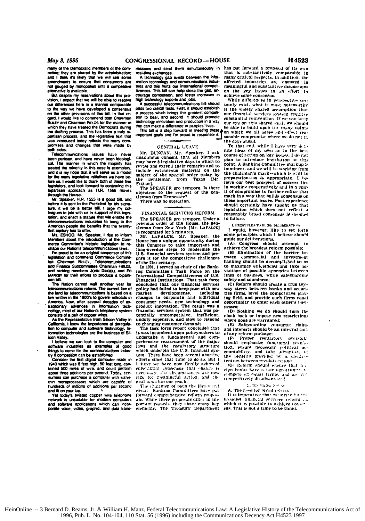**many** of the Democratic members of **the corn**mtee; they are shared **by** the administration: **and I thifk it's** likely that we will see some amendents to ensure that consumers are not gouged **by** monopolies until a competitive altarnative is **available.**

But despite **my** reservations **about** this pro vision. **I** expect that we **will be** able to resolve our differences here in **a** manner comparable **to the way we have developed a consensus on the other provisions of this bill. In that re**gard. **I** would like to commend both Charrman Ruley and Charrman FIELDS for the manner in **StILEY** and Chairman **FIELOS** for **fh** manner in which **they** have treated the Denocrats during the drafting process. This has been a truly **b** partisan process, and the legislative text that was introduced today reflects the many compronases and changes that were made **by** both sides.

Telecommunications issues have never been **pamean,** and have never been ideological. The manner in which the majority has treated the minority in this case is exemplary, and it is my hope that it will serve as a model and 5 is my hope that it wit serve as a model **for** the many legislative initiatives we have be' lore us. **I would like** to thank both **of** these **fine** legislators, and look forward to continuing this bipartisan approach as H.R. **1555** moves through the House.

**Mr.** Speaker. H.R. **1555** is a **good bill.** and **bure**, it will be a better **bill. I** urge my colleagues to join with us in support of this legisleagues to join with us in support **of** this legis- **laior,** and enact a statute that will enable the telecommunications industries to bring to the American people the benefits that the twenty-

**tirat** century has to offer. **M. ESHOO. IM.** Speaker, **I** rise **to** inform Members about the introduction of the Com- merce **Committee's** historic legislation to **re shape** ow Nation's telecommunications laws.

I'm proud to **be** an original Cosponsor of this legislation and commend Commerce Committee Chairman BLILEY, Telecommunications<br>and Finance Subcommittee Chairman FIELDS, **and ranking** members **JolN DINGELtL** and **ED MARKEY fto their** efforts **to produce a** biparti- san bill

**The** Nation cannot **wait** another year for telecommunications reform. The current law of<br>the land for telecommunications is based on a<br>law written in the 1800's to govern railroads in law written in the 1800's to govern railroads in channerica. Now, after several decades of ex-comparison in information tech-production of the production of the production of the production of the production of the product **consists** of a pair **of** copper wires.

**As** the Representative **from Silicon** Valley in California, I know the importance of deregula- tion to computer and software technology. Information technologies are the business of Silicon Valley.

icon Valley. **<sup>I</sup>**believe we can **look to the** computer **and** things to come for the communications indus-

**by if** competition **can** be established. Consider the first digital computer made m **<sup>1943</sup>**which was **8** feet **high. 50** feet long. con tained 500 miles of wire, and could perform<br>about three additions per second. Today. ccn-<br>sumers can purchase a computer with waler-<br>thin microprocessors which are capable of **hundreds of mltons** of additions per socond

Yet loday's twisted copper wire telephone network is unsuitable for modern computers **and** software applications which can **incor-porate voice, video. graphic.** and data **rans-**

**mssions and send them simultaneously in has put forward a proposal of its own**<br>real-lime exchanges.

courage competison, and foster increases in ach!eve some consensus. high technology exports and **tobs.** While differen,es in *rfct* **v** ci:-

technology innovation and production in a way that can make a difference in peoples' lives.

The **SPEAKER** pro tempore. Under a previous order of the House, the gen-<br>tleman from New York (Mr. LAFALCE)<br>I would, however, like to set forth<br>is recognized for 5 minutes.<br>Nr. 1 xFALCE, Mr. Speaker, the some principles which I believe should

Mr. **LAFALCE.** Mr. Speaker. the **some prlnciples which I blieve Phnu't** House **has** a unique opportunity during guide our deliberations. the Congress to take important and **tAt** Congress should attempt to this Congress to take important and **tAtation** Congress to modernize the achieve the broadest reform possible: **U.S. Consequently seems to modernize the achieve the broadest reform possible:**<br>U.S. financial services system and pre-<br>pare it for the competitive challenges **tween** commercial and investment pare it for the competitive challenges of the 21st century.

International Competitiveness of U.S. lines of business, while safeguarding<br>Financial Institutions. That task force safety and soundness; concluded that our financial services **tC) Reform should create a true two.** policy had failed to keep pace with new way street bright marks and securi-<br>market developments. including ties firms, level the competitive pl changes in corporate and individual ing field, and provide such firms equal consumer needs, new technology and opportunity to enter each other's **Illumi** product innovation. The result was a nesses:<br>financial services system that was po-<br>to be bothing we do should turn the<br>tentially uncompetitive, inefficient, clock back or impose new restrictions<br>unduly expensive, and slo

The task force report concluded that and interests should be it was incumbent upon policymakers to of any reform package: positive a fundamental and cum-<br>undertake a fundamental and cum- **iF, Proper regulatory** oversit efforts since that time to do so. But I increases province by a victorial efforts since that time to do so. But I increases province incl. Increases we have now finally achieved  $\sim$  (G) Reform should ensure that a r  $\frac{1}{2}$  is the community achieves we have a factor of the community action of the factor of that  $\frac{1}{2}$  is the studied of that it is that it is a studied that it is a studied of the studied of the studied of the studi **I'!:t. i':** .n.'.aaiic 'ul **ut,'-:.t.** io n ni **to.- t ipt ti** cr13'ydir,:ilvsnr, . **r.',. <sup>I</sup>- w:htt t** our **ream** *h.* **T! :n .-.t: n en of butrn \*hie I|r !'::. I ."': :' :':: :"**

Senat - Banking Committees have pat - A. The need for broad referm.<sup>1</sup><br>forward comprehensive reform propose - It is imperative that we strive for the forward comprehensive reform propose . It is imperative that we strive for the also viewed as proposals differ in  $m_t$ , broadest financial services reform  $\tau_L$ als. While these proposals differ in int. broadest financial services reform  $\cdot$ :<br>portant regards, they share many key, which it is possible to achieve conset.

that is substantively comparable in .<br>A technology gap exists between the information respects. In addition, the .<br>In the mailon technology and communications indus- affected : industries are engaged : in A technology gap exists between the infor-<br>many critical respects. In addition, the<br>melton technology and communications indus- affected intustries are engaged in<br>times and this hurts our international competi- meaningful on the key issues in an effort to achieve some consensus.

**Associations and postically applied in the differences in perspective cer-**<br>A successful telecommunications bill should untily exist, what is must note working<br>the pass wo chical tests, First, it should establish is the w is the widely shared assumption that **a** process which brings the greatest competi- our finantial servicies system requires to bear, and second it should promote substantial reinvention: If we can k.-,.. difference in the can make a difference in people in the about the about the case of the about the about the should upon the main of the **able of the able of the able of the able of the able of the able of the <b>able of the if is bill is a step toward in meeting these one atle to build upon the many boints.**<br>Important goals and I'm proud to cosponsor it. I somahle communities wheneves the literary sector the days ahead.<br>To that end, while I have very

GENERAL LEAVE To that end, while I have very determined to the lines of my own as to the livel.<br>NCAN, Mr. Speaker, I ask course of action on key issues. I do not Mr. DUNCAN. Mr. Speaker. I ask nite ideas of my own as to the best unanimous consent that all Members **course of action on key issues.** I do not may have 5 legislative days in which to plan to introduce legislative days in **nay** have **5** legislative **days** in which to **plan to intr-duce l.vtslt** th: rev:se **and** extend their remarks **and** to **point. A banking** .onui **i.-** matkp m **include extrain their remarks and to point. A Banking Committee matking is<br>include extraneous material on the imminent, and we will be working from<br>sobject of the special order today by the chairman's mark—whith is still** subject of the special order today by the chairman's mark-which is still in the gentleman from Texas (Mr. preparation-as 4 appropriate. I he-**Hieve our best prospect of success lies**<br>in working cooperatively and in a spir-The SPEAKER pro tempore. Is there in working cooperatively and in a spir-<br>The SPEAKER pro tempore of the gen- it of compromise to further refluc that objection to the request of the gen-<br>the compromise to further refine that<br>tleman from Tennessee? **mark** in a way that builds consensus on There was no objection. These important issues. Past. experience should certainly have taucht us that legislation which does not reflect a<br>**FINANCIAL SERVICES REFORM** reasonably broad consensar is doon;ed<br>**The SPEAKER mo tempore.** Under a **to failure**.

banking should be accomplished so as<br>to maximize efficiencies and take ad-In **1991. 1** served as chair of the Bank- to **maximize** efficiencies ani take idvantage of possible synergies between<br>lines of business, while safeguarding

ties firms, level the competitive play-<br>ing field, and provide such firms equal

to changing customer demands. **tE)** Safeguardint, cl't.um.r ri.htt The **task** force report concludel that and inter'sts should **be** an ilitec'r. p:l

prehensive reassesament **of** the major should ecpha.lze funi.tonal **irc'.,** laws and the reculatory structure tion, ensure necessary notifical *at* tion, ensure necessary political *accountability*, and take *advantage of* which underpin the U.S. financial sys-<br>tem. There have been several aboutive the benefits, and take advantage of<br>tem. There have been several aboutive the benefits provided by a creative

ards. while cards. they share many key which it is possible to achieve conservant regards, they share many key which it is possible to achieve conservant in the Treasury Deputnient sue. This is not a time to be timed.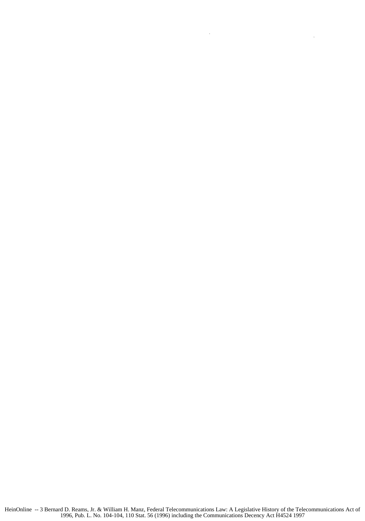HeinOnline -- 3 Bernard D. Reams, Jr. & William H. Manz, Federal Telecommunications Law: A Legislative History of the Telecommunications Act of 1996, Pub. L. No. 104-104, 110 Stat. 56 (1996) including the Communications Decency Act H4524 1997

 $\bar{z}$ 

J,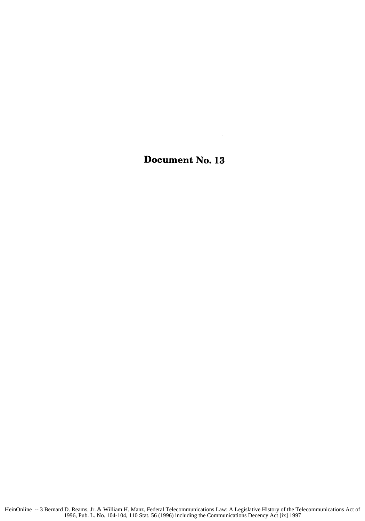Document No. **13**

 $\sim$   $\lambda$